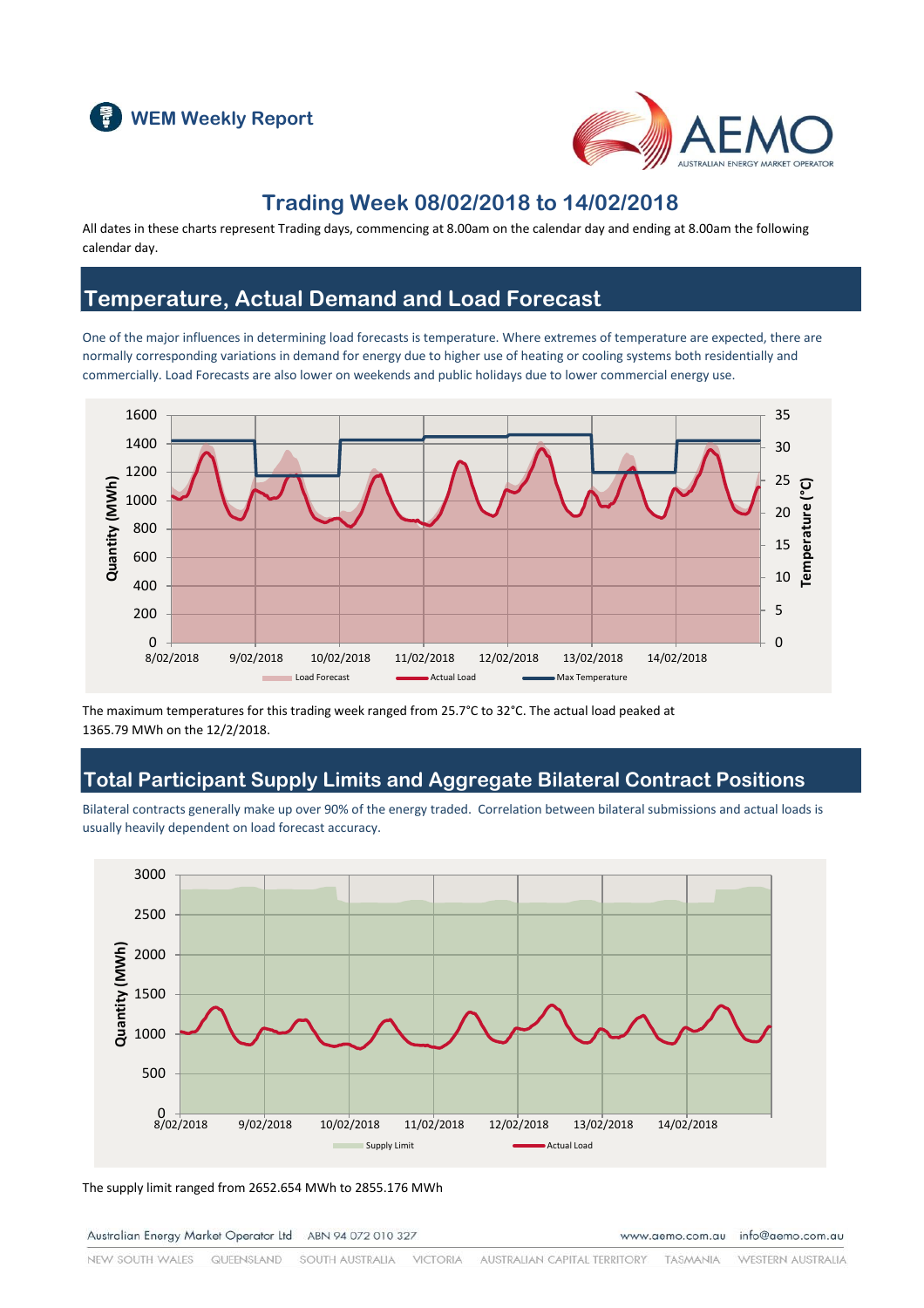



### **Trading Week 08/02/2018 to 14/02/2018**

All dates in these charts represent Trading days, commencing at 8.00am on the calendar day and ending at 8.00am the following calendar day.

### **Temperature, Actual Demand and Load Forecast**

One of the major influences in determining load forecasts is temperature. Where extremes of temperature are expected, there are normally corresponding variations in demand for energy due to higher use of heating or cooling systems both residentially and commercially. Load Forecasts are also lower on weekends and public holidays due to lower commercial energy use.



The maximum temperatures for this trading week ranged from 25.7°C to 32°C. The actual load peaked at 1365.79 MWh on the 12/2/2018.

### **Total Participant Supply Limits and Aggregate Bilateral Contract Positions**

Bilateral contracts generally make up over 90% of the energy traded. Correlation between bilateral submissions and actual loads is usually heavily dependent on load forecast accuracy.



The supply limit ranged from 2652.654 MWh to 2855.176 MWh

Australian Energy Market Operator Ltd ABN 94 072 010 327

www.aemo.com.au info@aemo.com.au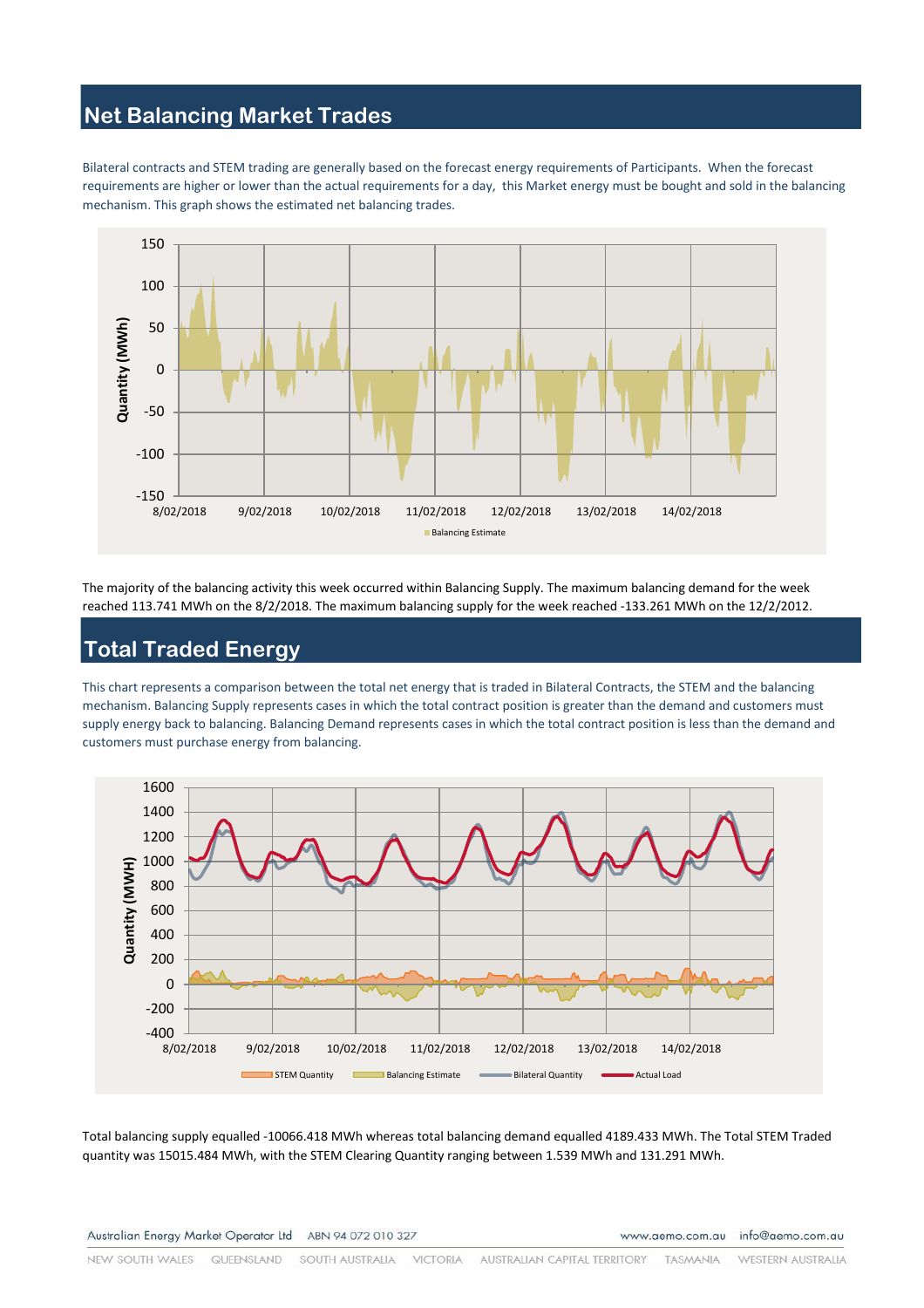# **Net Balancing Market Trades**

Bilateral contracts and STEM trading are generally based on the forecast energy requirements of Participants. When the forecast requirements are higher or lower than the actual requirements for a day, this Market energy must be bought and sold in the balancing mechanism. This graph shows the estimated net balancing trades.



The majority of the balancing activity this week occurred within Balancing Supply. The maximum balancing demand for the week reached 113.741 MWh on the 8/2/2018. The maximum balancing supply for the week reached -133.261 MWh on the 12/2/2012.

### **Total Traded Energy**

This chart represents a comparison between the total net energy that is traded in Bilateral Contracts, the STEM and the balancing mechanism. Balancing Supply represents cases in which the total contract position is greater than the demand and customers must supply energy back to balancing. Balancing Demand represents cases in which the total contract position is less than the demand and customers must purchase energy from balancing.



Total balancing supply equalled -10066.418 MWh whereas total balancing demand equalled 4189.433 MWh. The Total STEM Traded quantity was 15015.484 MWh, with the STEM Clearing Quantity ranging between 1.539 MWh and 131.291 MWh.